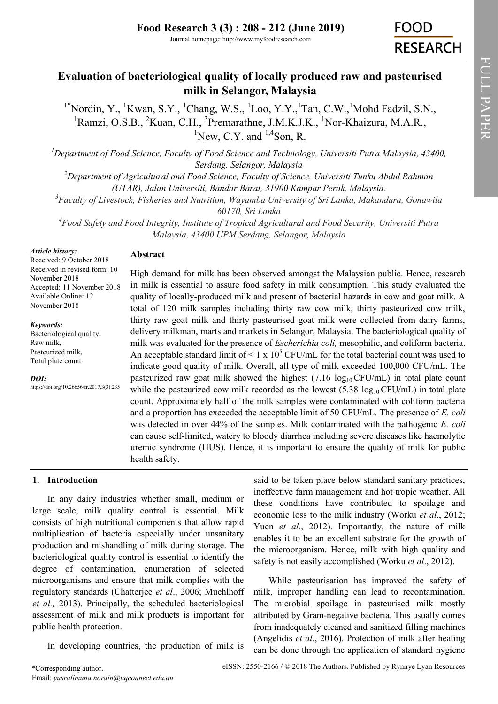# **Evaluation of bacteriological quality of locally produced raw and pasteurised milk in Selangor, Malaysia**

<sup>1\*</sup>Nordin, Y., <sup>1</sup>Kwan, S.Y., <sup>1</sup>Chang, W.S., <sup>1</sup>Loo, Y.Y., <sup>1</sup>Tan, C.W., <sup>1</sup>Mohd Fadzil, S.N., <sup>1</sup>Ramzi, O.S.B., <sup>2</sup>Kuan, C.H., <sup>3</sup>Premarathne, J.M.K.J.K., <sup>1</sup>Nor-Khaizura, M.A.R.,  ${}^{1}$ New, C.Y. and  ${}^{1,4}$ Son, R.

*<sup>1</sup>Department of Food Science, Faculty of Food Science and Technology, Universiti Putra Malaysia, 43400, Serdang, Selangor, Malaysia*

*<sup>2</sup>Department of Agricultural and Food Science, Faculty of Science, Universiti Tunku Abdul Rahman (UTAR), Jalan Universiti, Bandar Barat, 31900 Kampar Perak, Malaysia.*

*<sup>3</sup>Faculty of Livestock, Fisheries and Nutrition, Wayamba University of Sri Lanka, Makandura, Gonawila 60170, Sri Lanka*

*<sup>4</sup>Food Safety and Food Integrity, Institute of Tropical Agricultural and Food Security, Universiti Putra Malaysia, 43400 UPM Serdang, Selangor, Malaysia*

#### *Article history:*

### **Abstract**

Received: 9 October 2018 Received in revised form: 10 November 2018 Accepted: 11 November 2018 Available Online: 12 November 2018

*Keywords:* Bacteriological quality,

Raw milk, Pasteurized milk, Total plate count

*DOI:*

https://doi.org/10.26656/fr.2017.3(3).235

High demand for milk has been observed amongst the Malaysian public. Hence, research in milk is essential to assure food safety in milk consumption. This study evaluated the quality of locally-produced milk and present of bacterial hazards in cow and goat milk. A total of 120 milk samples including thirty raw cow milk, thirty pasteurized cow milk, thirty raw goat milk and thirty pasteurised goat milk were collected from dairy farms, delivery milkman, marts and markets in Selangor, Malaysia. The bacteriological quality of milk was evaluated for the presence of *Escherichia coli,* mesophilic, and coliform bacteria. An acceptable standard limit of  $\leq 1 \times 10^5$  CFU/mL for the total bacterial count was used to indicate good quality of milk. Overall, all type of milk exceeded 100,000 CFU/mL. The pasteurized raw goat milk showed the highest  $(7.16 \log_{10} CFU/mL)$  in total plate count while the pasteurized cow milk recorded as the lowest (5.38  $log_{10} CFU/mL$ ) in total plate count. Approximately half of the milk samples were contaminated with coliform bacteria and a proportion has exceeded the acceptable limit of 50 CFU/mL. The presence of *E. coli* was detected in over 44% of the samples. Milk contaminated with the pathogenic *E. coli*  can cause self-limited, watery to bloody diarrhea including severe diseases like haemolytic uremic syndrome (HUS). Hence, it is important to ensure the quality of milk for public health safety.

## **1. Introduction**

In any dairy industries whether small, medium or large scale, milk quality control is essential. Milk consists of high nutritional components that allow rapid multiplication of bacteria especially under unsanitary production and mishandling of milk during storage. The bacteriological quality control is essential to identify the degree of contamination, enumeration of selected microorganisms and ensure that milk complies with the regulatory standards (Chatterjee *et al*., 2006; Muehlhoff *et al.,* 2013). Principally, the scheduled bacteriological assessment of milk and milk products is important for public health protection.

In developing countries, the production of milk is

said to be taken place below standard sanitary practices, ineffective farm management and hot tropic weather. All these conditions have contributed to spoilage and economic loss to the milk industry (Worku *et al*., 2012; Yuen *et al*., 2012). Importantly, the nature of milk enables it to be an excellent substrate for the growth of the microorganism. Hence, milk with high quality and safety is not easily accomplished (Worku *et al*., 2012).

While pasteurisation has improved the safety of milk, improper handling can lead to recontamination. The microbial spoilage in pasteurised milk mostly attributed by Gram-negative bacteria. This usually comes from inadequately cleaned and sanitized filling machines (Angelidis *et al*., 2016). Protection of milk after heating can be done through the application of standard hygiene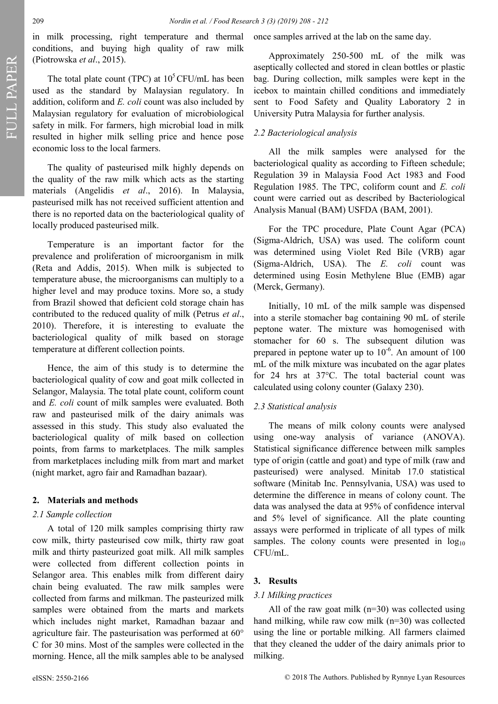in milk processing, right temperature and thermal conditions, and buying high quality of raw milk (Piotrowska *et al*., 2015).

The total plate count (TPC) at  $10^5$ CFU/mL has been used as the standard by Malaysian regulatory. In addition, coliform and *E. coli* count was also included by Malaysian regulatory for evaluation of microbiological safety in milk. For farmers, high microbial load in milk resulted in higher milk selling price and hence pose economic loss to the local farmers.

The quality of pasteurised milk highly depends on the quality of the raw milk which acts as the starting materials (Angelidis *et al*., 2016). In Malaysia, pasteurised milk has not received sufficient attention and there is no reported data on the bacteriological quality of locally produced pasteurised milk.

Temperature is an important factor for the prevalence and proliferation of microorganism in milk (Reta and Addis, 2015). When milk is subjected to temperature abuse, the microorganisms can multiply to a higher level and may produce toxins. More so, a study from Brazil showed that deficient cold storage chain has contributed to the reduced quality of milk (Petrus *et al*., 2010). Therefore, it is interesting to evaluate the bacteriological quality of milk based on storage temperature at different collection points.

Hence, the aim of this study is to determine the bacteriological quality of cow and goat milk collected in Selangor, Malaysia. The total plate count, coliform count and *E. coli* count of milk samples were evaluated. Both raw and pasteurised milk of the dairy animals was assessed in this study. This study also evaluated the bacteriological quality of milk based on collection points, from farms to marketplaces. The milk samples from marketplaces including milk from mart and market (night market, agro fair and Ramadhan bazaar).

#### **2. Materials and methods**

#### *2.1 Sample collection*

A total of 120 milk samples comprising thirty raw cow milk, thirty pasteurised cow milk, thirty raw goat milk and thirty pasteurized goat milk. All milk samples were collected from different collection points in Selangor area. This enables milk from different dairy chain being evaluated. The raw milk samples were collected from farms and milkman. The pasteurized milk samples were obtained from the marts and markets which includes night market, Ramadhan bazaar and agriculture fair. The pasteurisation was performed at 60° C for 30 mins. Most of the samples were collected in the morning. Hence, all the milk samples able to be analysed

once samples arrived at the lab on the same day.

Approximately 250-500 mL of the milk was aseptically collected and stored in clean bottles or plastic bag. During collection, milk samples were kept in the icebox to maintain chilled conditions and immediately sent to Food Safety and Quality Laboratory 2 in University Putra Malaysia for further analysis.

# *2.2 Bacteriological analysis*

All the milk samples were analysed for the bacteriological quality as according to Fifteen schedule; Regulation 39 in Malaysia Food Act 1983 and Food Regulation 1985. The TPC, coliform count and *E. coli* count were carried out as described by Bacteriological Analysis Manual (BAM) USFDA (BAM, 2001).

For the TPC procedure, Plate Count Agar (PCA) (Sigma-Aldrich, USA) was used. The coliform count was determined using Violet Red Bile (VRB) agar (Sigma-Aldrich, USA). The *E. coli* count was determined using Eosin Methylene Blue (EMB) agar (Merck, Germany).

Initially, 10 mL of the milk sample was dispensed into a sterile stomacher bag containing 90 mL of sterile peptone water. The mixture was homogenised with stomacher for 60 s. The subsequent dilution was prepared in peptone water up to  $10^{-6}$ . An amount of 100 mL of the milk mixture was incubated on the agar plates for 24 hrs at 37°C. The total bacterial count was calculated using colony counter (Galaxy 230).

### *2.3 Statistical analysis*

The means of milk colony counts were analysed using one-way analysis of variance (ANOVA). Statistical significance difference between milk samples type of origin (cattle and goat) and type of milk (raw and pasteurised) were analysed. Minitab 17.0 statistical software (Minitab Inc. Pennsylvania, USA) was used to determine the difference in means of colony count. The data was analysed the data at 95% of confidence interval and 5% level of significance. All the plate counting assays were performed in triplicate of all types of milk samples. The colony counts were presented in  $log_{10}$ CFU/mL.

### **3. Results**

#### *3.1 Milking practices*

All of the raw goat milk  $(n=30)$  was collected using hand milking, while raw cow milk (n=30) was collected using the line or portable milking. All farmers claimed that they cleaned the udder of the dairy animals prior to milking.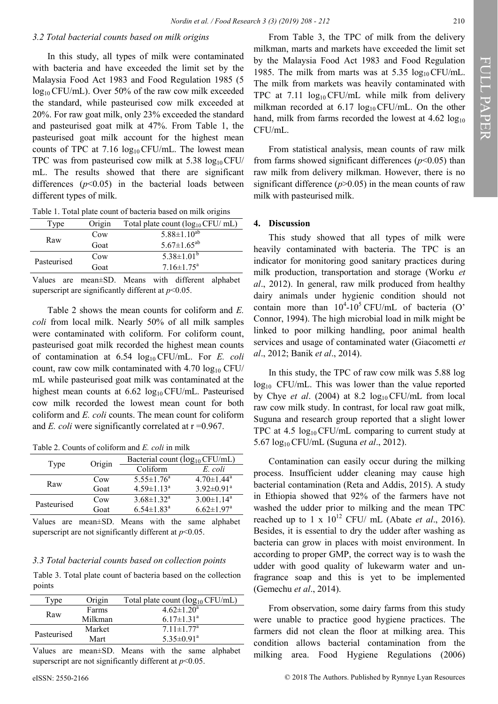### *3.2 Total bacterial counts based on milk origins*

In this study, all types of milk were contaminated with bacteria and have exceeded the limit set by the Malaysia Food Act 1983 and Food Regulation 1985 (5  $log_{10}$  CFU/mL). Over 50% of the raw cow milk exceeded the standard, while pasteurised cow milk exceeded at 20%. For raw goat milk, only 23% exceeded the standard and pasteurised goat milk at 47%. From Table 1, the pasteurised goat milk account for the highest mean counts of TPC at 7.16  $log_{10}$  CFU/mL. The lowest mean TPC was from pasteurised cow milk at  $5.38 \log_{10} CFU$ mL. The results showed that there are significant differences  $(p<0.05)$  in the bacterial loads between different types of milk.

| Table 1. Total plate count of bacteria based on milk origins |
|--------------------------------------------------------------|
|--------------------------------------------------------------|

| Type        | Origin | Total plate count $(\log_{10}$ CFU/ mL) |  |
|-------------|--------|-----------------------------------------|--|
| Raw         | Cow    | $5.88 \pm 1.10^{ab}$                    |  |
|             | Goat   | $5.67 \pm 1.65^{ab}$                    |  |
| Pasteurised | Cow    | $5.38 \pm 1.01^b$                       |  |
|             | Goat   | $7.16 \pm 1.75^{\circ}$                 |  |

Values are mean±SD. Means with different alphabet superscript are significantly different at *p*<0.05.

Table 2 shows the mean counts for coliform and *E. coli* from local milk. Nearly 50% of all milk samples were contaminated with coliform. For coliform count, pasteurised goat milk recorded the highest mean counts of contamination at 6.54  $log_{10}$  CFU/mL. For *E. coli* count, raw cow milk contaminated with  $4.70 \log_{10} CFU$ mL while pasteurised goat milk was contaminated at the highest mean counts at  $6.62 \log_{10} CFU/mL$ . Pasteurised cow milk recorded the lowest mean count for both coliform and *E. coli* counts. The mean count for coliform and *E. coli* were significantly correlated at  $r = 0.967$ .

Table 2. Counts of coliform and *E. coli* in milk

| Type        | Origin | Bacterial count $(log_{10} CFU/mL)$ |                              |
|-------------|--------|-------------------------------------|------------------------------|
|             |        | Coliform                            | E. coli                      |
| Raw         | Cow    | $5.55 \pm 1.76^{\circ}$             | $4.70 \pm 1.44$ <sup>a</sup> |
|             | Goat   | $4.59 \pm 1.13^a$                   | $3.92 \pm 0.91$ <sup>a</sup> |
| Pasteurised | Cow    | $3.68 \pm 1.32^{\text{a}}$          | $3.00 \pm 1.14^a$            |
|             | Goat   | $6.54 \pm 1.83$ <sup>a</sup>        | $6.62 \pm 1.97$ <sup>a</sup> |

Values are mean±SD. Means with the same alphabet superscript are not significantly different at  $p<0.05$ .

#### *3.3 Total bacterial counts based on collection points*

Table 3. Total plate count of bacteria based on the collection points

| Type        | Origin  | Total plate count (log <sub>10</sub> CFU/mL) |
|-------------|---------|----------------------------------------------|
| Raw         | Farms   | $4.62 \pm 1.20^a$                            |
|             | Milkman | $6.17 \pm 1.31$ <sup>a</sup>                 |
| Pasteurised | Market  | $7.11 \pm 1.77$ <sup>a</sup>                 |
|             | Mart    | $5.35 \pm 0.91$ <sup>a</sup>                 |

Values are mean±SD. Means with the same alphabet superscript are not significantly different at *p*<0.05.

From Table 3, the TPC of milk from the delivery milkman, marts and markets have exceeded the limit set by the Malaysia Food Act 1983 and Food Regulation 1985. The milk from marts was at  $5.35 \log_{10} CFU/mL$ . The milk from markets was heavily contaminated with TPC at 7.11  $log_{10}$ CFU/mL while milk from delivery milkman recorded at  $6.17 \log_{10} CFU/mL$ . On the other hand, milk from farms recorded the lowest at  $4.62 \log_{10}$ CFU/mL.

From statistical analysis, mean counts of raw milk from farms showed significant differences  $(p<0.05)$  than raw milk from delivery milkman. However, there is no significant difference  $(p>0.05)$  in the mean counts of raw milk with pasteurised milk.

#### **4. Discussion**

This study showed that all types of milk were heavily contaminated with bacteria. The TPC is an indicator for monitoring good sanitary practices during milk production, transportation and storage (Worku *et al*., 2012). In general, raw milk produced from healthy dairy animals under hygienic condition should not contain more than  $10^4$ -10<sup>5</sup> CFU/mL of bacteria (O' Connor, 1994). The high microbial load in milk might be linked to poor milking handling, poor animal health services and usage of contaminated water (Giacometti *et al*., 2012; Banik *et al*., 2014).

In this study, the TPC of raw cow milk was 5.88 log  $log_{10}$  CFU/mL. This was lower than the value reported by Chye *et al.* (2004) at 8.2  $log_{10} CFU/mL$  from local raw cow milk study. In contrast, for local raw goat milk, Suguna and research group reported that a slight lower TPC at 4.5  $log_{10}$ CFU/mL comparing to current study at 5.67 log10 CFU/mL (Suguna *et al*., 2012).

Contamination can easily occur during the milking process. Insufficient udder cleaning may cause high bacterial contamination (Reta and Addis, 2015). A study in Ethiopia showed that 92% of the farmers have not washed the udder prior to milking and the mean TPC reached up to 1 x  $10^{12}$  CFU/ mL (Abate *et al.*, 2016). Besides, it is essential to dry the udder after washing as bacteria can grow in places with moist environment. In according to proper GMP, the correct way is to wash the udder with good quality of lukewarm water and unfragrance soap and this is yet to be implemented (Gemechu *et al*., 2014).

From observation, some dairy farms from this study were unable to practice good hygiene practices. The farmers did not clean the floor at milking area. This condition allows bacterial contamination from the milking area. Food Hygiene Regulations (2006)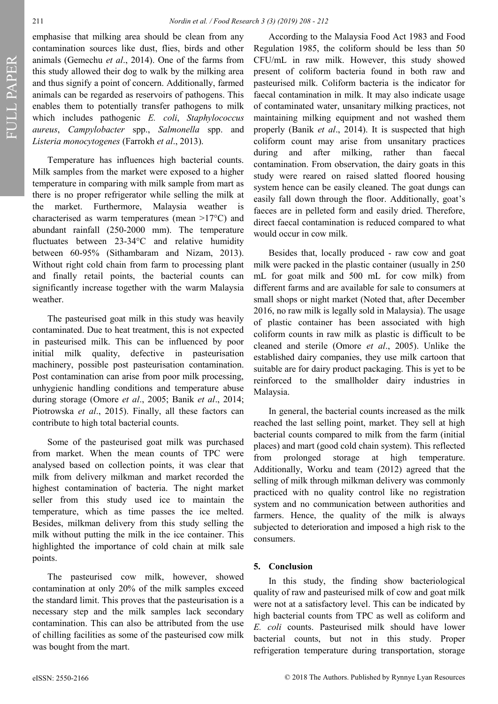FULL PAPER FULL PAPER

emphasise that milking area should be clean from any contamination sources like dust, flies, birds and other animals (Gemechu *et al*., 2014). One of the farms from this study allowed their dog to walk by the milking area and thus signify a point of concern. Additionally, farmed animals can be regarded as reservoirs of pathogens. This enables them to potentially transfer pathogens to milk which includes pathogenic *E. coli*, *Staphylococcus aureus*, *Campylobacter* spp., *Salmonella* spp. and *Listeria monocytogenes* (Farrokh *et al*., 2013).

Temperature has influences high bacterial counts. Milk samples from the market were exposed to a higher temperature in comparing with milk sample from mart as there is no proper refrigerator while selling the milk at the market. Furthermore, Malaysia weather is characterised as warm temperatures (mean >17°C) and abundant rainfall (250-2000 mm). The temperature fluctuates between 23-34°C and relative humidity between 60-95% (Sithambaram and Nizam, 2013). Without right cold chain from farm to processing plant and finally retail points, the bacterial counts can significantly increase together with the warm Malaysia weather.

The pasteurised goat milk in this study was heavily contaminated. Due to heat treatment, this is not expected in pasteurised milk. This can be influenced by poor initial milk quality, defective in pasteurisation machinery, possible post pasteurisation contamination. Post contamination can arise from poor milk processing, unhygienic handling conditions and temperature abuse during storage (Omore *et al*., 2005; Banik *et al*., 2014; Piotrowska *et al*., 2015). Finally, all these factors can contribute to high total bacterial counts.

Some of the pasteurised goat milk was purchased from market. When the mean counts of TPC were analysed based on collection points, it was clear that milk from delivery milkman and market recorded the highest contamination of bacteria. The night market seller from this study used ice to maintain the temperature, which as time passes the ice melted. Besides, milkman delivery from this study selling the milk without putting the milk in the ice container. This highlighted the importance of cold chain at milk sale points.

The pasteurised cow milk, however, showed contamination at only 20% of the milk samples exceed the standard limit. This proves that the pasteurisation is a necessary step and the milk samples lack secondary contamination. This can also be attributed from the use of chilling facilities as some of the pasteurised cow milk was bought from the mart.

According to the Malaysia Food Act 1983 and Food Regulation 1985, the coliform should be less than 50 CFU/mL in raw milk. However, this study showed present of coliform bacteria found in both raw and pasteurised milk. Coliform bacteria is the indicator for faecal contamination in milk. It may also indicate usage of contaminated water, unsanitary milking practices, not maintaining milking equipment and not washed them properly (Banik *et al*., 2014). It is suspected that high coliform count may arise from unsanitary practices during and after milking, rather than faecal contamination. From observation, the dairy goats in this study were reared on raised slatted floored housing system hence can be easily cleaned. The goat dungs can easily fall down through the floor. Additionally, goat's faeces are in pelleted form and easily dried. Therefore, direct faecal contamination is reduced compared to what would occur in cow milk.

Besides that, locally produced - raw cow and goat milk were packed in the plastic container (usually in 250 mL for goat milk and 500 mL for cow milk) from different farms and are available for sale to consumers at small shops or night market (Noted that, after December 2016, no raw milk is legally sold in Malaysia). The usage of plastic container has been associated with high coliform counts in raw milk as plastic is difficult to be cleaned and sterile (Omore *et al*., 2005). Unlike the established dairy companies, they use milk cartoon that suitable are for dairy product packaging. This is yet to be reinforced to the smallholder dairy industries in Malaysia.

In general, the bacterial counts increased as the milk reached the last selling point, market. They sell at high bacterial counts compared to milk from the farm (initial places) and mart (good cold chain system). This reflected from prolonged storage at high temperature. Additionally, Worku and team (2012) agreed that the selling of milk through milkman delivery was commonly practiced with no quality control like no registration system and no communication between authorities and farmers. Hence, the quality of the milk is always subjected to deterioration and imposed a high risk to the consumers.

### **5. Conclusion**

In this study, the finding show bacteriological quality of raw and pasteurised milk of cow and goat milk were not at a satisfactory level. This can be indicated by high bacterial counts from TPC as well as coliform and *E. coli* counts. Pasteurised milk should have lower bacterial counts, but not in this study. Proper refrigeration temperature during transportation, storage